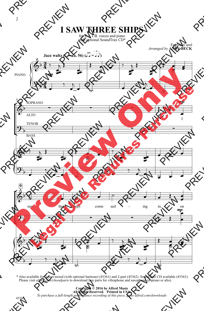

\* Also available for 3-part mixed (with optional baritone) (45361) and 2-part (45362). SoundTrax CD available (45363). Please visit *alfred.com/choralparts* to download free parts for vibraphone and saxophone (soprano or alto).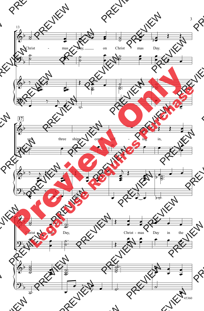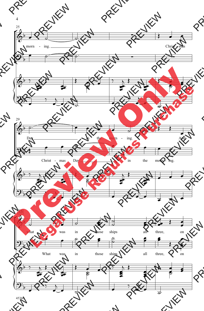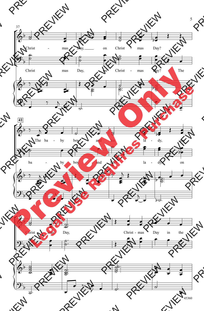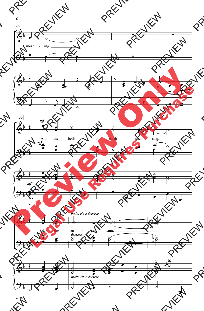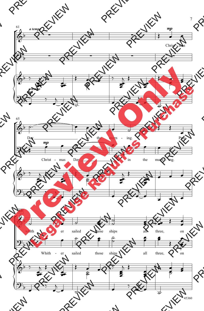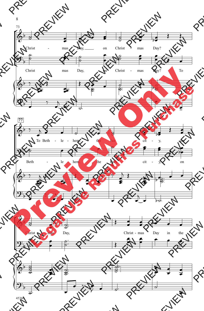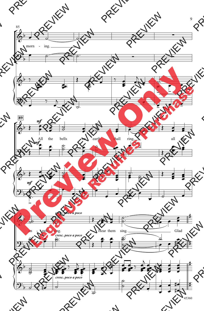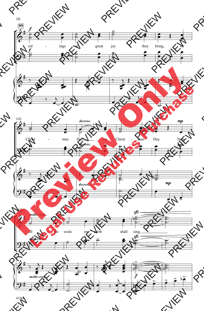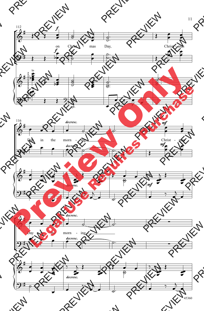